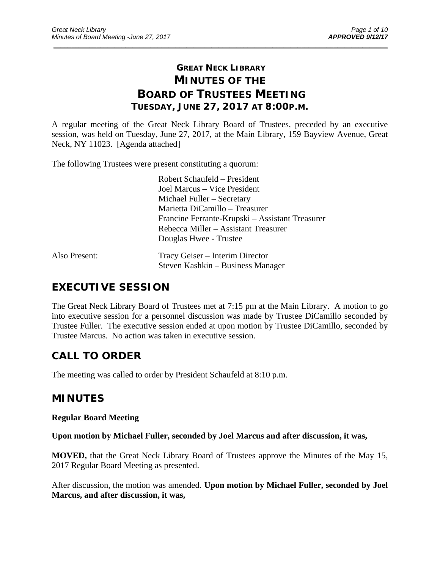# **GREAT NECK LIBRARY MINUTES OF THE BOARD OF TRUSTEES MEETING TUESDAY, JUNE 27, 2017 AT 8:00P.M.**

\_\_\_\_\_\_\_\_\_\_\_\_\_\_\_\_\_\_\_\_\_\_\_\_\_\_\_\_\_\_\_\_\_\_\_\_\_\_\_\_\_\_\_\_\_\_\_\_\_\_\_\_\_\_\_\_\_\_\_\_\_\_\_\_\_\_\_\_\_\_\_\_\_\_\_\_\_\_\_\_\_\_\_\_\_\_\_\_\_\_\_\_\_

A regular meeting of the Great Neck Library Board of Trustees, preceded by an executive session, was held on Tuesday, June 27, 2017, at the Main Library, 159 Bayview Avenue, Great Neck, NY 11023. [Agenda attached]

The following Trustees were present constituting a quorum:

| Robert Schaufeld – President                    |
|-------------------------------------------------|
| Joel Marcus – Vice President                    |
| Michael Fuller – Secretary                      |
| Marietta DiCamillo - Treasurer                  |
| Francine Ferrante-Krupski – Assistant Treasurer |
| Rebecca Miller - Assistant Treasurer            |
| Douglas Hwee - Trustee                          |
|                                                 |

| Also Present: | Tracy Geiser – Interim Director   |
|---------------|-----------------------------------|
|               | Steven Kashkin – Business Manager |

# **EXECUTIVE SESSION**

The Great Neck Library Board of Trustees met at 7:15 pm at the Main Library. A motion to go into executive session for a personnel discussion was made by Trustee DiCamillo seconded by Trustee Fuller. The executive session ended at upon motion by Trustee DiCamillo, seconded by Trustee Marcus. No action was taken in executive session.

# **CALL TO ORDER**

The meeting was called to order by President Schaufeld at 8:10 p.m.

## **MINUTES**

### **Regular Board Meeting**

**Upon motion by Michael Fuller, seconded by Joel Marcus and after discussion, it was,** 

**MOVED,** that the Great Neck Library Board of Trustees approve the Minutes of the May 15, 2017 Regular Board Meeting as presented.

After discussion, the motion was amended. **Upon motion by Michael Fuller, seconded by Joel Marcus, and after discussion, it was,**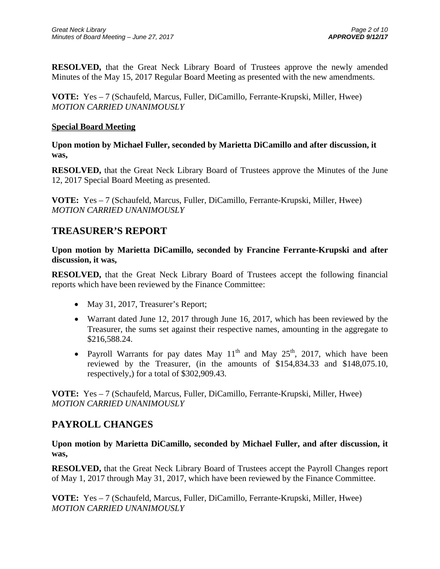**RESOLVED,** that the Great Neck Library Board of Trustees approve the newly amended Minutes of the May 15, 2017 Regular Board Meeting as presented with the new amendments.

**VOTE:** Yes – 7 (Schaufeld, Marcus, Fuller, DiCamillo, Ferrante-Krupski, Miller, Hwee) *MOTION CARRIED UNANIMOUSLY* 

### **Special Board Meeting**

**Upon motion by Michael Fuller, seconded by Marietta DiCamillo and after discussion, it was,** 

**RESOLVED,** that the Great Neck Library Board of Trustees approve the Minutes of the June 12, 2017 Special Board Meeting as presented.

**VOTE:** Yes – 7 (Schaufeld, Marcus, Fuller, DiCamillo, Ferrante-Krupski, Miller, Hwee) *MOTION CARRIED UNANIMOUSLY* 

### **TREASURER'S REPORT**

**Upon motion by Marietta DiCamillo, seconded by Francine Ferrante-Krupski and after discussion, it was,** 

**RESOLVED,** that the Great Neck Library Board of Trustees accept the following financial reports which have been reviewed by the Finance Committee:

- May 31, 2017, Treasurer's Report;
- Warrant dated June 12, 2017 through June 16, 2017, which has been reviewed by the Treasurer, the sums set against their respective names, amounting in the aggregate to \$216,588.24.
- Payroll Warrants for pay dates May  $11<sup>th</sup>$  and May  $25<sup>th</sup>$ , 2017, which have been reviewed by the Treasurer, (in the amounts of \$154,834.33 and \$148,075.10, respectively,) for a total of \$302,909.43.

**VOTE:** Yes – 7 (Schaufeld, Marcus, Fuller, DiCamillo, Ferrante-Krupski, Miller, Hwee) *MOTION CARRIED UNANIMOUSLY* 

### **PAYROLL CHANGES**

### **Upon motion by Marietta DiCamillo, seconded by Michael Fuller, and after discussion, it was,**

**RESOLVED,** that the Great Neck Library Board of Trustees accept the Payroll Changes report of May 1, 2017 through May 31, 2017, which have been reviewed by the Finance Committee.

**VOTE:** Yes – 7 (Schaufeld, Marcus, Fuller, DiCamillo, Ferrante-Krupski, Miller, Hwee) *MOTION CARRIED UNANIMOUSLY*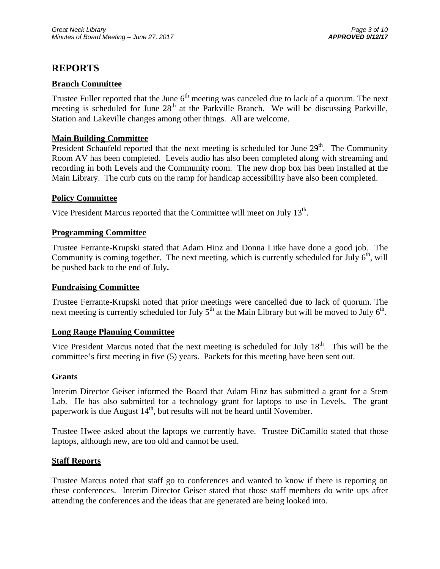# **REPORTS**

### **Branch Committee**

Trustee Fuller reported that the June  $6<sup>th</sup>$  meeting was canceled due to lack of a quorum. The next meeting is scheduled for June  $28<sup>th</sup>$  at the Parkville Branch. We will be discussing Parkville, Station and Lakeville changes among other things. All are welcome.

### **Main Building Committee**

President Schaufeld reported that the next meeting is scheduled for June  $29<sup>th</sup>$ . The Community Room AV has been completed. Levels audio has also been completed along with streaming and recording in both Levels and the Community room. The new drop box has been installed at the Main Library. The curb cuts on the ramp for handicap accessibility have also been completed.

### **Policy Committee**

Vice President Marcus reported that the Committee will meet on July 13<sup>th</sup>.

### **Programming Committee**

Trustee Ferrante-Krupski stated that Adam Hinz and Donna Litke have done a good job. The Community is coming together. The next meeting, which is currently scheduled for July  $6<sup>th</sup>$ , will be pushed back to the end of July**.** 

### **Fundraising Committee**

Trustee Ferrante-Krupski noted that prior meetings were cancelled due to lack of quorum. The next meeting is currently scheduled for July  $5<sup>th</sup>$  at the Main Library but will be moved to July  $6<sup>th</sup>$ .

### **Long Range Planning Committee**

Vice President Marcus noted that the next meeting is scheduled for July  $18<sup>th</sup>$ . This will be the committee's first meeting in five (5) years. Packets for this meeting have been sent out.

### **Grants**

Interim Director Geiser informed the Board that Adam Hinz has submitted a grant for a Stem Lab. He has also submitted for a technology grant for laptops to use in Levels. The grant paperwork is due August  $14<sup>th</sup>$ , but results will not be heard until November.

Trustee Hwee asked about the laptops we currently have. Trustee DiCamillo stated that those laptops, although new, are too old and cannot be used.

### **Staff Reports**

Trustee Marcus noted that staff go to conferences and wanted to know if there is reporting on these conferences. Interim Director Geiser stated that those staff members do write ups after attending the conferences and the ideas that are generated are being looked into.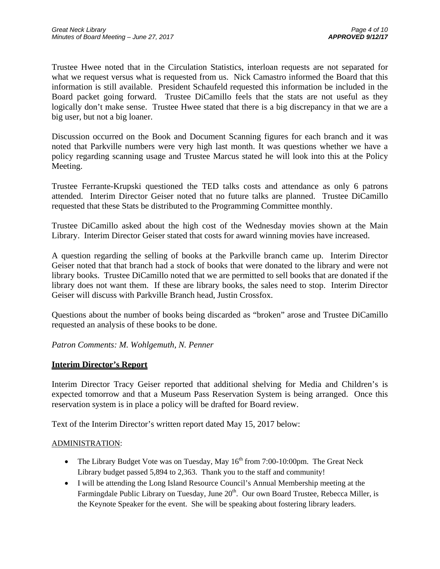Trustee Hwee noted that in the Circulation Statistics, interloan requests are not separated for what we request versus what is requested from us. Nick Camastro informed the Board that this information is still available. President Schaufeld requested this information be included in the Board packet going forward. Trustee DiCamillo feels that the stats are not useful as they logically don't make sense. Trustee Hwee stated that there is a big discrepancy in that we are a big user, but not a big loaner.

Discussion occurred on the Book and Document Scanning figures for each branch and it was noted that Parkville numbers were very high last month. It was questions whether we have a policy regarding scanning usage and Trustee Marcus stated he will look into this at the Policy Meeting.

Trustee Ferrante-Krupski questioned the TED talks costs and attendance as only 6 patrons attended. Interim Director Geiser noted that no future talks are planned. Trustee DiCamillo requested that these Stats be distributed to the Programming Committee monthly.

Trustee DiCamillo asked about the high cost of the Wednesday movies shown at the Main Library. Interim Director Geiser stated that costs for award winning movies have increased.

A question regarding the selling of books at the Parkville branch came up. Interim Director Geiser noted that that branch had a stock of books that were donated to the library and were not library books. Trustee DiCamillo noted that we are permitted to sell books that are donated if the library does not want them. If these are library books, the sales need to stop. Interim Director Geiser will discuss with Parkville Branch head, Justin Crossfox.

Questions about the number of books being discarded as "broken" arose and Trustee DiCamillo requested an analysis of these books to be done.

*Patron Comments: M. Wohlgemuth, N. Penner* 

### **Interim Director's Report**

Interim Director Tracy Geiser reported that additional shelving for Media and Children's is expected tomorrow and that a Museum Pass Reservation System is being arranged. Once this reservation system is in place a policy will be drafted for Board review.

Text of the Interim Director's written report dated May 15, 2017 below:

#### ADMINISTRATION:

- The Library Budget Vote was on Tuesday, May  $16<sup>th</sup>$  from 7:00-10:00pm. The Great Neck Library budget passed 5,894 to 2,363. Thank you to the staff and community!
- I will be attending the Long Island Resource Council's Annual Membership meeting at the Farmingdale Public Library on Tuesday, June 20<sup>th</sup>. Our own Board Trustee, Rebecca Miller, is the Keynote Speaker for the event. She will be speaking about fostering library leaders.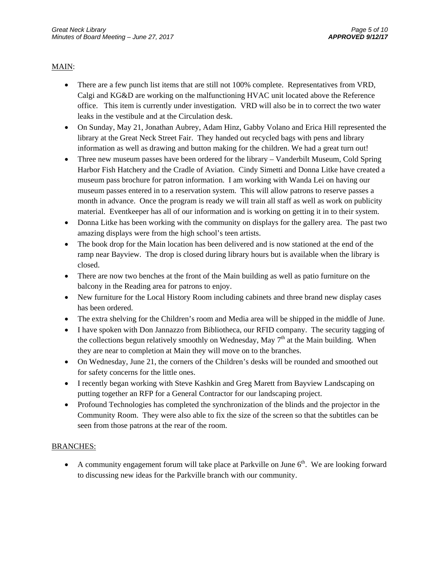### MAIN:

- There are a few punch list items that are still not 100% complete. Representatives from VRD, Calgi and KG&D are working on the malfunctioning HVAC unit located above the Reference office. This item is currently under investigation. VRD will also be in to correct the two water leaks in the vestibule and at the Circulation desk.
- On Sunday, May 21, Jonathan Aubrey, Adam Hinz, Gabby Volano and Erica Hill represented the library at the Great Neck Street Fair. They handed out recycled bags with pens and library information as well as drawing and button making for the children. We had a great turn out!
- Three new museum passes have been ordered for the library Vanderbilt Museum, Cold Spring Harbor Fish Hatchery and the Cradle of Aviation. Cindy Simetti and Donna Litke have created a museum pass brochure for patron information. I am working with Wanda Lei on having our museum passes entered in to a reservation system. This will allow patrons to reserve passes a month in advance. Once the program is ready we will train all staff as well as work on publicity material. Eventkeeper has all of our information and is working on getting it in to their system.
- Donna Litke has been working with the community on displays for the gallery area. The past two amazing displays were from the high school's teen artists.
- The book drop for the Main location has been delivered and is now stationed at the end of the ramp near Bayview. The drop is closed during library hours but is available when the library is closed.
- There are now two benches at the front of the Main building as well as patio furniture on the balcony in the Reading area for patrons to enjoy.
- New furniture for the Local History Room including cabinets and three brand new display cases has been ordered.
- The extra shelving for the Children's room and Media area will be shipped in the middle of June.
- I have spoken with Don Jannazzo from Bibliotheca, our RFID company. The security tagging of the collections begun relatively smoothly on Wednesday, May  $7<sup>th</sup>$  at the Main building. When they are near to completion at Main they will move on to the branches.
- On Wednesday, June 21, the corners of the Children's desks will be rounded and smoothed out for safety concerns for the little ones.
- I recently began working with Steve Kashkin and Greg Marett from Bayview Landscaping on putting together an RFP for a General Contractor for our landscaping project.
- Profound Technologies has completed the synchronization of the blinds and the projector in the Community Room. They were also able to fix the size of the screen so that the subtitles can be seen from those patrons at the rear of the room.

### BRANCHES:

A community engagement forum will take place at Parkville on June  $6<sup>th</sup>$ . We are looking forward to discussing new ideas for the Parkville branch with our community.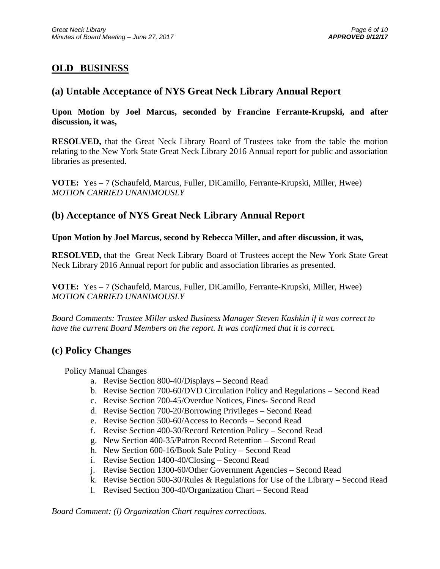# **OLD BUSINESS**

## **(a) Untable Acceptance of NYS Great Neck Library Annual Report**

**Upon Motion by Joel Marcus, seconded by Francine Ferrante-Krupski, and after discussion, it was,** 

**RESOLVED,** that the Great Neck Library Board of Trustees take from the table the motion relating to the New York State Great Neck Library 2016 Annual report for public and association libraries as presented.

**VOTE:** Yes – 7 (Schaufeld, Marcus, Fuller, DiCamillo, Ferrante-Krupski, Miller, Hwee) *MOTION CARRIED UNANIMOUSLY* 

## **(b) Acceptance of NYS Great Neck Library Annual Report**

**Upon Motion by Joel Marcus, second by Rebecca Miller, and after discussion, it was,** 

**RESOLVED,** that the Great Neck Library Board of Trustees accept the New York State Great Neck Library 2016 Annual report for public and association libraries as presented.

**VOTE:** Yes – 7 (Schaufeld, Marcus, Fuller, DiCamillo, Ferrante-Krupski, Miller, Hwee) *MOTION CARRIED UNANIMOUSLY* 

*Board Comments: Trustee Miller asked Business Manager Steven Kashkin if it was correct to have the current Board Members on the report. It was confirmed that it is correct.* 

## **(c) Policy Changes**

Policy Manual Changes

- a. Revise Section 800-40/Displays Second Read
- b. Revise Section 700-60/DVD Circulation Policy and Regulations Second Read
- c. Revise Section 700-45/Overdue Notices, Fines- Second Read
- d. Revise Section 700-20/Borrowing Privileges Second Read
- e. Revise Section 500-60/Access to Records Second Read
- f. Revise Section 400-30/Record Retention Policy Second Read
- g. New Section 400-35/Patron Record Retention Second Read
- h. New Section 600-16/Book Sale Policy Second Read
- i. Revise Section 1400-40/Closing Second Read
- j. Revise Section 1300-60/Other Government Agencies Second Read
- k. Revise Section 500-30/Rules & Regulations for Use of the Library Second Read
- l. Revised Section 300-40/Organization Chart Second Read

*Board Comment: (l) Organization Chart requires corrections.*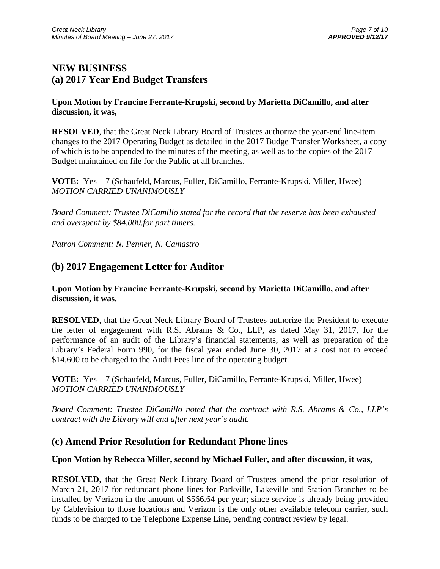## **NEW BUSINESS (a) 2017 Year End Budget Transfers**

### **Upon Motion by Francine Ferrante-Krupski, second by Marietta DiCamillo, and after discussion, it was,**

**RESOLVED**, that the Great Neck Library Board of Trustees authorize the year-end line-item changes to the 2017 Operating Budget as detailed in the 2017 Budge Transfer Worksheet, a copy of which is to be appended to the minutes of the meeting, as well as to the copies of the 2017 Budget maintained on file for the Public at all branches.

**VOTE:** Yes – 7 (Schaufeld, Marcus, Fuller, DiCamillo, Ferrante-Krupski, Miller, Hwee) *MOTION CARRIED UNANIMOUSLY* 

*Board Comment: Trustee DiCamillo stated for the record that the reserve has been exhausted and overspent by \$84,000.for part timers.* 

*Patron Comment: N. Penner, N. Camastro* 

## **(b) 2017 Engagement Letter for Auditor**

**Upon Motion by Francine Ferrante-Krupski, second by Marietta DiCamillo, and after discussion, it was,** 

**RESOLVED**, that the Great Neck Library Board of Trustees authorize the President to execute the letter of engagement with R.S. Abrams & Co., LLP, as dated May 31, 2017, for the performance of an audit of the Library's financial statements, as well as preparation of the Library's Federal Form 990, for the fiscal year ended June 30, 2017 at a cost not to exceed \$14,600 to be charged to the Audit Fees line of the operating budget.

**VOTE:** Yes – 7 (Schaufeld, Marcus, Fuller, DiCamillo, Ferrante-Krupski, Miller, Hwee) *MOTION CARRIED UNANIMOUSLY* 

*Board Comment: Trustee DiCamillo noted that the contract with R.S. Abrams & Co., LLP's contract with the Library will end after next year's audit.* 

## **(c) Amend Prior Resolution for Redundant Phone lines**

### **Upon Motion by Rebecca Miller, second by Michael Fuller, and after discussion, it was,**

**RESOLVED**, that the Great Neck Library Board of Trustees amend the prior resolution of March 21, 2017 for redundant phone lines for Parkville, Lakeville and Station Branches to be installed by Verizon in the amount of \$566.64 per year; since service is already being provided by Cablevision to those locations and Verizon is the only other available telecom carrier, such funds to be charged to the Telephone Expense Line, pending contract review by legal.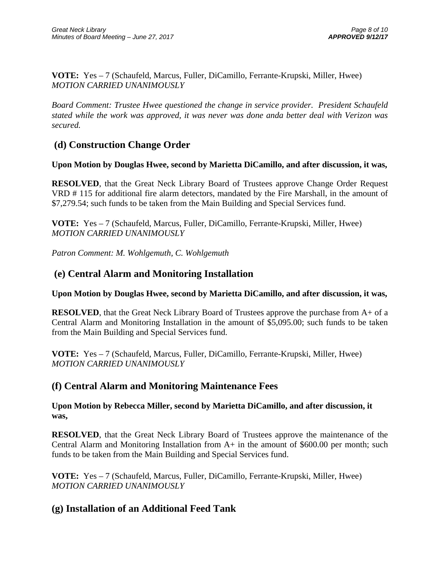**VOTE:** Yes – 7 (Schaufeld, Marcus, Fuller, DiCamillo, Ferrante-Krupski, Miller, Hwee) *MOTION CARRIED UNANIMOUSLY* 

*Board Comment: Trustee Hwee questioned the change in service provider. President Schaufeld stated while the work was approved, it was never was done anda better deal with Verizon was secured.* 

### **(d) Construction Change Order**

### **Upon Motion by Douglas Hwee, second by Marietta DiCamillo, and after discussion, it was,**

**RESOLVED**, that the Great Neck Library Board of Trustees approve Change Order Request VRD # 115 for additional fire alarm detectors, mandated by the Fire Marshall, in the amount of \$7,279.54; such funds to be taken from the Main Building and Special Services fund.

**VOTE:** Yes – 7 (Schaufeld, Marcus, Fuller, DiCamillo, Ferrante-Krupski, Miller, Hwee) *MOTION CARRIED UNANIMOUSLY* 

*Patron Comment: M. Wohlgemuth, C. Wohlgemuth* 

### **(e) Central Alarm and Monitoring Installation**

### **Upon Motion by Douglas Hwee, second by Marietta DiCamillo, and after discussion, it was,**

**RESOLVED**, that the Great Neck Library Board of Trustees approve the purchase from A+ of a Central Alarm and Monitoring Installation in the amount of \$5,095.00; such funds to be taken from the Main Building and Special Services fund.

**VOTE:** Yes – 7 (Schaufeld, Marcus, Fuller, DiCamillo, Ferrante-Krupski, Miller, Hwee) *MOTION CARRIED UNANIMOUSLY* 

### **(f) Central Alarm and Monitoring Maintenance Fees**

**Upon Motion by Rebecca Miller, second by Marietta DiCamillo, and after discussion, it was,** 

**RESOLVED**, that the Great Neck Library Board of Trustees approve the maintenance of the Central Alarm and Monitoring Installation from A+ in the amount of \$600.00 per month; such funds to be taken from the Main Building and Special Services fund.

**VOTE:** Yes – 7 (Schaufeld, Marcus, Fuller, DiCamillo, Ferrante-Krupski, Miller, Hwee) *MOTION CARRIED UNANIMOUSLY* 

## **(g) Installation of an Additional Feed Tank**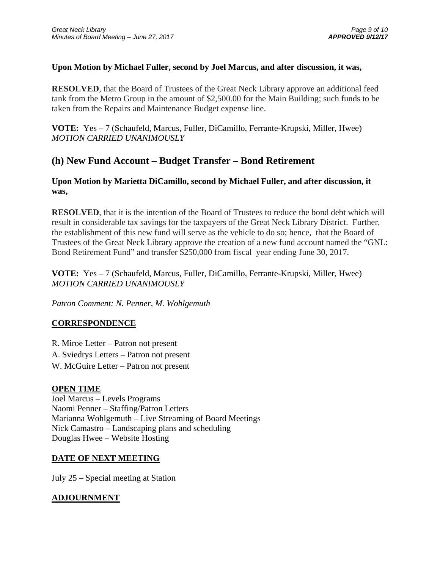### **Upon Motion by Michael Fuller, second by Joel Marcus, and after discussion, it was,**

**RESOLVED**, that the Board of Trustees of the Great Neck Library approve an additional feed tank from the Metro Group in the amount of \$2,500.00 for the Main Building; such funds to be taken from the Repairs and Maintenance Budget expense line.

**VOTE:** Yes – 7 (Schaufeld, Marcus, Fuller, DiCamillo, Ferrante-Krupski, Miller, Hwee) *MOTION CARRIED UNANIMOUSLY* 

### **(h) New Fund Account – Budget Transfer – Bond Retirement**

### **Upon Motion by Marietta DiCamillo, second by Michael Fuller, and after discussion, it was,**

**RESOLVED**, that it is the intention of the Board of Trustees to reduce the bond debt which will result in considerable tax savings for the taxpayers of the Great Neck Library District. Further, the establishment of this new fund will serve as the vehicle to do so; hence, that the Board of Trustees of the Great Neck Library approve the creation of a new fund account named the "GNL: Bond Retirement Fund" and transfer \$250,000 from fiscal year ending June 30, 2017.

**VOTE:** Yes – 7 (Schaufeld, Marcus, Fuller, DiCamillo, Ferrante-Krupski, Miller, Hwee) *MOTION CARRIED UNANIMOUSLY* 

*Patron Comment: N. Penner, M. Wohlgemuth* 

### **CORRESPONDENCE**

R. Miroe Letter – Patron not present A. Sviedrys Letters – Patron not present W. McGuire Letter – Patron not present

### **OPEN TIME**

Joel Marcus – Levels Programs Naomi Penner – Staffing/Patron Letters Marianna Wohlgemuth – Live Streaming of Board Meetings Nick Camastro – Landscaping plans and scheduling Douglas Hwee – Website Hosting

### **DATE OF NEXT MEETING**

July 25 – Special meeting at Station

### **ADJOURNMENT**